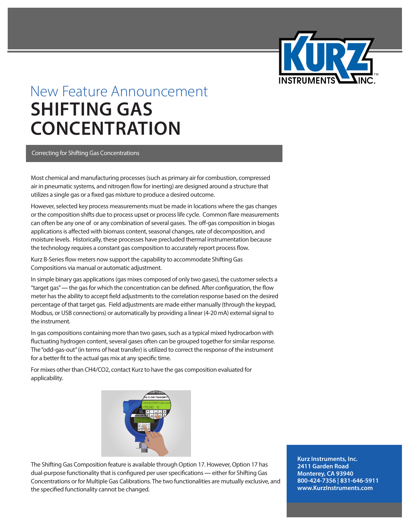

## New Feature Announcement **SHIFTING GAS CONCENTRATION**

## Correcting for Shifting Gas Concentrations

Most chemical and manufacturing processes (such as primary air for combustion, compressed air in pneumatic systems, and nitrogen flow for inerting) are designed around a structure that utilizes a single gas or a fixed gas mixture to produce a desired outcome.

However, selected key process measurements must be made in locations where the gas changes or the composition shifts due to process upset or process life cycle. Common flare measurements can often be any one of or any combination of several gases. The off-gas composition in biogas applications is affected with biomass content, seasonal changes, rate of decomposition, and moisture levels. Historically, these processes have precluded thermal instrumentation because the technology requires a constant gas composition to accurately report process flow.

Kurz B-Series flow meters now support the capability to accommodate Shifting Gas Compositions via manual or automatic adjustment.

In simple binary gas applications (gas mixes composed of only two gases), the customer selects a "target gas" **—** the gas for which the concentration can be defined. After configuration, the flow meter has the ability to accept field adjustments to the correlation response based on the desired percentage of that target gas. Field adjustments are made either manually (through the keypad, Modbus, or USB connections) or automatically by providing a linear (4-20 mA) external signal to the instrument.

In gas compositions containing more than two gases, such as a typical mixed hydrocarbon with fluctuating hydrogen content, several gases often can be grouped together for similar response. The "odd-gas-out" (in terms of heat transfer) is utilized to correct the response of the instrument for a better fit to the actual gas mix at any specific time.

For mixes other than CH4/CO2, contact Kurz to have the gas composition evaluated for applicability.



The Shifting Gas Composition feature is available through Option 17. However, Option 17 has dual-purpose functionality that is configured per user specifications **—** either for Shifting Gas Concentrations or for Multiple Gas Calibrations. The two functionalities are mutually exclusive, and the specified functionality cannot be changed.

**Kurz Instruments, Inc. 2411 Garden Road Monterey, CA 93940 800-424-7356 | 831-646-5911 www.KurzInstruments.com**